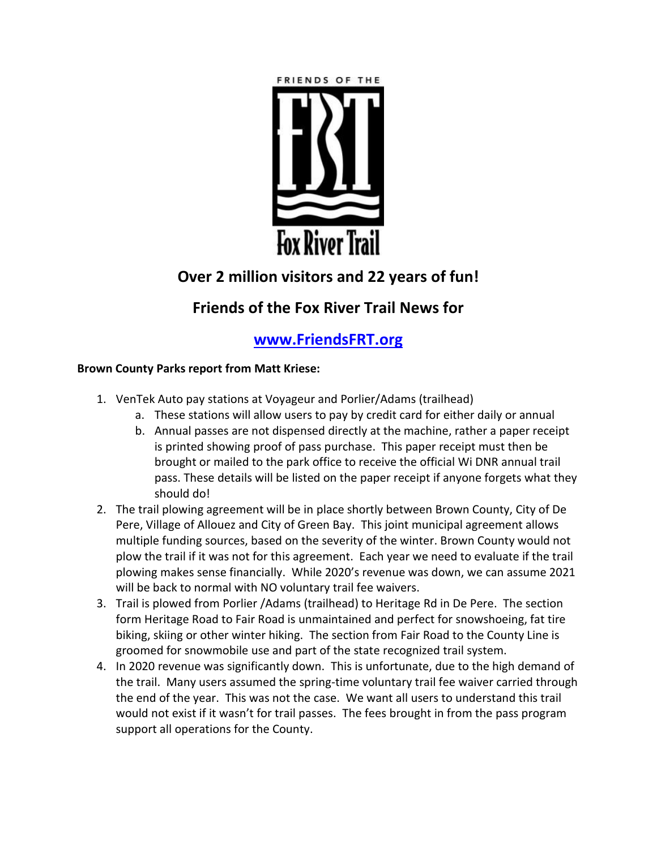

# **Over 2 million visitors and 22 years of fun!**

# **Friends of the Fox River Trail News for**

### **[www.FriendsFRT.org](http://www.friendsfrt.org/)**

### **Brown County Parks report from Matt Kriese:**

- 1. VenTek Auto pay stations at Voyageur and Porlier/Adams (trailhead)
	- a. These stations will allow users to pay by credit card for either daily or annual
	- b. Annual passes are not dispensed directly at the machine, rather a paper receipt is printed showing proof of pass purchase. This paper receipt must then be brought or mailed to the park office to receive the official Wi DNR annual trail pass. These details will be listed on the paper receipt if anyone forgets what they should do!
- 2. The trail plowing agreement will be in place shortly between Brown County, City of De Pere, Village of Allouez and City of Green Bay. This joint municipal agreement allows multiple funding sources, based on the severity of the winter. Brown County would not plow the trail if it was not for this agreement. Each year we need to evaluate if the trail plowing makes sense financially. While 2020's revenue was down, we can assume 2021 will be back to normal with NO voluntary trail fee waivers.
- 3. Trail is plowed from Porlier /Adams (trailhead) to Heritage Rd in De Pere. The section form Heritage Road to Fair Road is unmaintained and perfect for snowshoeing, fat tire biking, skiing or other winter hiking. The section from Fair Road to the County Line is groomed for snowmobile use and part of the state recognized trail system.
- 4. In 2020 revenue was significantly down. This is unfortunate, due to the high demand of the trail. Many users assumed the spring-time voluntary trail fee waiver carried through the end of the year. This was not the case. We want all users to understand this trail would not exist if it wasn't for trail passes. The fees brought in from the pass program support all operations for the County.